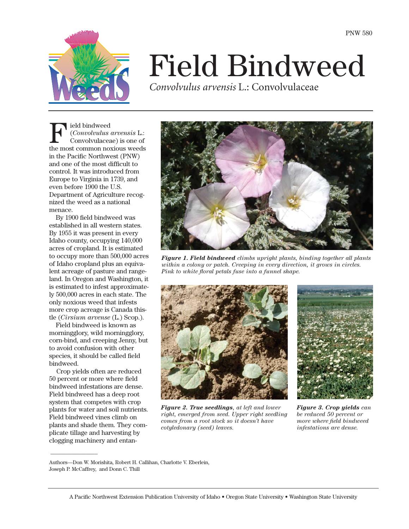

# Field Bindweed

*Convolvulus arvensis* L.: Convolvulaceae

Field bindweed<br>Convolvulus<br>the most common no (*Convolvulus arvensis* L.: Convolvulaceae) is one of the most common noxious weeds in the Pacific Northwest (PNW) and one of the most difficult to control. It was introduced from Europe to Virginia in 1739, and even before 1900 the U.S. Department of Agriculture recognized the weed as a national menace.

By 1900 field bindweed was established in all western states. By 1955 it was present in every Idaho county, occupying 140,000 acres of cropland. It is estimated to occupy more than 500,000 acres of Idaho cropland plus an equivalent acreage of pasture and rangeland. In Oregon and Washington, it is estimated to infest approximately 500,000 acres in each state. The only noxious weed that infests more crop acreage is Canada thistle (*Cirsium arvense* (L.) Scop.).

Field bindweed is known as morningglory, wild morningglory, corn-bind, and creeping Jenny, but to avoid confusion with other species, it should be called field bindweed.

Crop yields often are reduced 50 percent or more where field bindweed infestations are dense. Field bindweed has a deep root system that competes with crop plants for water and soil nutrients. Field bindweed vines climb on plants and shade them. They complicate tillage and harvesting by clogging machinery and entan-

 $\overline{\phantom{a}}$ 



*Figure 1. Field bindweed climbs upright plants, binding together all plants within a colony or patch. Creeping in every direction, it grows in circles. Pink to white floral petals fuse into a funnel shape.*



*Figure 2. True seedlings, at left and lower right, emerged from seed. Upper right seedling comes from a root stock so it doesn't have cotyledonary (seed) leaves.*



*Figure 3. Crop yields can be reduced 50 percent or more where field bindweed infestations are dense.*

Authors—Don W. Morishita, Robert H. Callihan, Charlotte V. Eberlein, Joseph P. McCaffrey, and Donn C. Thill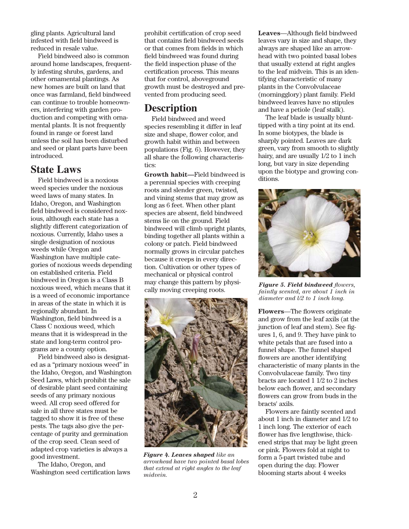gling plants. Agricultural land infested with field bindweed is reduced in resale value.

Field bindweed also is common around home landscapes, frequently infesting shrubs, gardens, and other ornamental plantings. As new homes are built on land that once was farmland, field bindweed can continue to trouble homeowners, interfering with garden production and competing with ornamental plants. It is not frequently found in range or forest land unless the soil has been disturbed and seed or plant parts have been introduced.

## **State Laws**

Field bindweed is a noxious weed species under the noxious weed laws of many states. In Idaho, Oregon, and Washington field bindweed is considered noxious, although each state has a slightly different categorization of noxious. Currently, Idaho uses a single designation of noxious weeds while Oregon and Washington have multiple categories of noxious weeds depending on established criteria. Field bindweed in Oregon is a Class B noxious weed, which means that it is a weed of economic importance in areas of the state in which it is regionally abundant. In Washington, field bindweed is a Class C noxious weed, which means that it is widespread in the state and long-term control programs are a county option.

Field bindweed also is designated as a "primary noxious weed" in the Idaho, Oregon, and Washington Seed Laws, which prohibit the sale of desirable plant seed containing seeds of any primary noxious weed. All crop seed offered for sale in all three states must be tagged to show it is free of these pests. The tags also give the percentage of purity and germination of the crop seed. Clean seed of adapted crop varieties is always a good investment.

The Idaho, Oregon, and Washington seed certification laws prohibit certification of crop seed that contains field bindweed seeds or that comes from fields in which field bindweed was found during the field inspection phase of the certification process. This means that for control, aboveground growth must be destroyed and prevented from producing seed.

# **Description**

Field bindweed and weed species resembling it differ in leaf size and shape, flower color, and growth habit within and between populations (Fig. 6). However, they all share the following characteristics:

**Growth habit—**Field bindweed is a perennial species with creeping roots and slender green, twisted, and vining stems that may grow as long as 6 feet. When other plant species are absent, field bindweed stems lie on the ground. Field bindweed will climb upright plants, binding together all plants within a colony or patch. Field bindweed normally grows in circular patches because it creeps in every direction. Cultivation or other types of mechanical or physical control may change this pattern by physically moving creeping roots.



*Figure 4. Leaves shaped like an arrowhead have two pointed basal lobes that extend at right angles to the leaf midvein.*

**Leaves**—Although field bindweed leaves vary in size and shape, they always are shaped like an arrowhead with two pointed basal lobes that usually extend at right angles to the leaf midvein. This is an identifying characteristic of many plants in the Convolvulaceae (morningglory) plant family. Field bindweed leaves have no stipules and have a petiole (leaf stalk).

The leaf blade is usually blunttipped with a tiny point at its end. In some biotypes, the blade is sharply pointed. Leaves are dark green, vary from smooth to slightly hairy, and are usually 1/2 to 1 inch long, but vary in size depending upon the biotype and growing conditions.



*Figure 5. Field bindweed flowers, faintly scented, are about 1 inch in diameter and l/2 to 1 inch long.*

**Flowers**—The flowers originate and grow from the leaf axils (at the junction of leaf and stem). See figures 1, 6, and 9. They have pink to white petals that are fused into a funnel shape. The funnel shaped flowers are another identifying characteristic of many plants in the Convolvulaceae family. Two tiny bracts are located 1 1/2 to 2 inches below each flower, and secondary flowers can grow from buds in the bracts' axils.

Flowers are faintly scented and about 1 inch in diameter and 1/2 to 1 inch long. The exterior of each flower has five lengthwise, thickened strips that may be light green or pink. Flowers fold at night to form a 5-part twisted tube and open during the day. Flower blooming starts about 4 weeks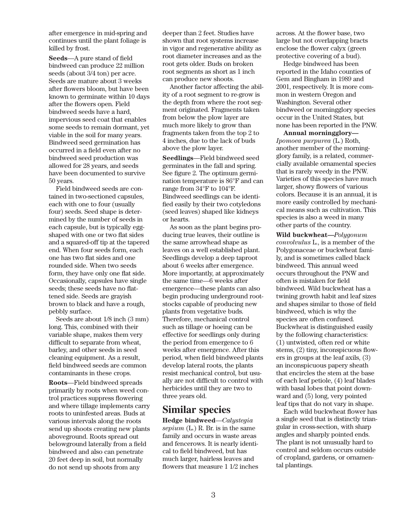after emergence in mid-spring and continues until the plant foliage is killed by frost.

**Seeds**—A pure stand of field bindweed can produce 22 million seeds (about 3/4 ton) per acre. Seeds are mature about 3 weeks after flowers bloom, but have been known to germinate within 10 days after the flowers open. Field bindweed seeds have a hard, impervious seed coat that enables some seeds to remain dormant, yet viable in the soil for many years. Bindweed seed germination has occurred in a field even after no bindweed seed production was allowed for 28 years, and seeds have been documented to survive 50 years.

Field bindweed seeds are contained in two-sectioned capsules, each with one to four (usually four) seeds. Seed shape is determined by the number of seeds in each capsule, but is typically eggshaped with one or two flat sides and a squared-off tip at the tapered end. When four seeds form, each one has two flat sides and one rounded side. When two seeds form, they have only one flat side. Occasionally, capsules have single seeds; these seeds have no flattened side. Seeds are grayish brown to black and have a rough, pebbly surface.

Seeds are about 1/8 inch (3 mm) long. This, combined with their variable shape, makes them very difficult to separate from wheat, barley, and other seeds in seed cleaning equipment. As a result, field bindweed seeds are common contaminants in these crops.

**Roots**—Field bindweed spreads primarily by roots when weed control practices suppress flowering and where tillage implements carry roots to uninfested areas. Buds at various intervals along the roots send up shoots creating new plants aboveground. Roots spread out belowground laterally from a field bindweed and also can penetrate 20 feet deep in soil, but normally do not send up shoots from any

deeper than 2 feet. Studies have shown that root systems increase in vigor and regenerative ability as root diameter increases and as the root gets older. Buds on broken root segments as short as 1 inch can produce new shoots.

Another factor affecting the ability of a root segment to re-grow is the depth from where the root segment originated. Fragments taken from below the plow layer are much more likely to grow than fragments taken from the top 2 to 4 inches, due to the lack of buds above the plow layer.

**Seedlings**—Field bindweed seed germinates in the fall and spring. See figure 2. The optimum germination temperature is 86°F and can range from 34°F to 104°F. Bindweed seedlings can be identified easily by their two cotyledons (seed leaves) shaped like kidneys or hearts.

As soon as the plant begins producing true leaves, their outline is the same arrowhead shape as leaves on a well established plant. Seedlings develop a deep taproot about 6 weeks after emergence. More importantly, at approximately the same time—6 weeks after emergence—these plants can also begin producing underground rootstocks capable of producing new plants from vegetative buds. Therefore, mechanical control such as tillage or hoeing can be effective for seedlings only during the period from emergence to 6 weeks after emergence. After this period, when field bindweed plants develop lateral roots, the plants resist mechanical control, but usually are not difficult to control with herbicides until they are two to three years old.

## **Similar species**

**Hedge bindweed**—*Calystegia sepium* (L.) R. Br. is in the same family and occurs in waste areas and fencerows. It is nearly identical to field bindweed, but has much larger, hairless leaves and flowers that measure 1 1/2 inches

across. At the flower base, two large but not overlapping bracts enclose the flower calyx (green protective covering of a bud).

Hedge bindweed has been reported in the Idaho counties of Gem and Bingham in 1989 and 2001, respectively. It is more common in western Oregon and Washington. Several other bindweed or morningglory species occur in the United States, but none has been reported in the PNW.

**Annual morningglory—** *Ipomoea purpurea* (L.) Roth, another member of the morningglory family, is a related, commercially available ornamental species that is rarely weedy in the PNW. Varieties of this species have much larger, showy flowers of various colors. Because it is an annual, it is more easily controlled by mechanical means such as cultivation. This species is also a weed in many other parts of the country.

**Wild buckwheat—***Polygonum convolvulus* L., is a member of the Polygonaceae or buckwheat family, and is sometimes called black bindweed. This annual weed occurs throughout the PNW and often is mistaken for field bindweed. Wild buckwheat has a twining growth habit and leaf sizes and shapes similar to those of field bindweed, which is why the species are often confused. Buckwheat is distinguished easily by the following characteristics: (1) untwisted, often red or white stems, (2) tiny, inconspicuous flowers in groups at the leaf axils, (3) an inconspicuous papery sheath that encircles the stem at the base of each leaf petiole, (4) leaf blades with basal lobes that point downward and (5) long, very pointed leaf tips that do not vary in shape.

Each wild buckwheat flower has a single seed that is distinctly triangular in cross-section, with sharp angles and sharply pointed ends. The plant is not unusually hard to control and seldom occurs outside of cropland, gardens, or ornamental plantings.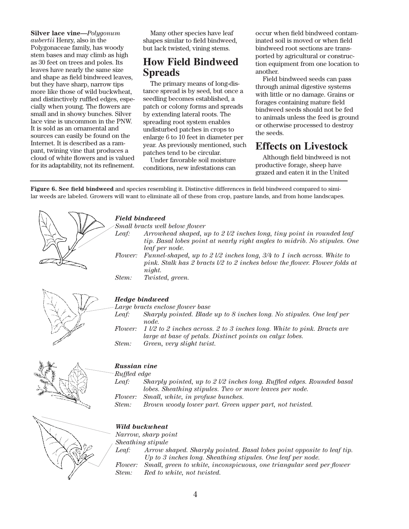**Silver lace vine—***Polygonum aubertii* Henry, also in the Polygonaceae family, has woody stem bases and may climb as high as 30 feet on trees and poles. Its leaves have nearly the same size and shape as field bindweed leaves, but they have sharp, narrow tips more like those of wild buckwheat, and distinctively ruffled edges, especially when young. The flowers are small and in showy bunches. Silver lace vine is uncommon in the PNW. It is sold as an ornamental and sources can easily be found on the Internet. It is described as a rampant, twining vine that produces a cloud of white flowers and is valued for its adaptability, not its refinement.

Many other species have leaf shapes similar to field bindweed, but lack twisted, vining stems.

# **How Field Bindweed Spreads**

The primary means of long-distance spread is by seed, but once a seedling becomes established, a patch or colony forms and spreads by extending lateral roots. The spreading root system enables undisturbed patches in crops to enlarge 6 to 10 feet in diameter per year. As previously mentioned, such patches tend to be circular.

Under favorable soil moisture conditions, new infestations can occur when field bindweed contaminated soil is moved or when field bindweed root sections are transported by agricultural or construction equipment from one location to another.

Field bindweed seeds can pass through animal digestive systems with little or no damage. Grains or forages containing mature field bindweed seeds should not be fed to animals unless the feed is ground or otherwise processed to destroy the seeds.

# **Effects on Livestock**

Although field bindweed is not productive forage, sheep have grazed and eaten it in the United

**Figure 6. See field bindweed** and species resembling it. Distinctive differences in field bindweed compared to similar weeds are labeled. Growers will want to eliminate all of these from crop, pasture lands, and from home landscapes.

| <b>Field bindweed</b><br>Leaf: | Small bracts well below flower<br>Arrowhead shaped, up to $2\nu/2$ inches long, tiny point in rounded leaf<br>tip. Basal lobes point at nearly right angles to midrib. No stipules. One<br>leaf per node. |  |  |
|--------------------------------|-----------------------------------------------------------------------------------------------------------------------------------------------------------------------------------------------------------|--|--|
|                                | Flower: Funnel-shaped, up to $2 \sqrt{2}$ inches long, $3/4$ to 1 inch across. White to<br>pink. Stalk has 2 bracts $1/2$ to 2 inches below the flower. Flower folds at<br>night.                         |  |  |
| Stem:                          | Twisted, green.                                                                                                                                                                                           |  |  |
| <b>Hedge bindweed</b>          |                                                                                                                                                                                                           |  |  |
|                                | Large bracts enclose flower base                                                                                                                                                                          |  |  |
| Leaf:                          | Sharply pointed. Blade up to 8 inches long. No stipules. One leaf per<br>node.                                                                                                                            |  |  |
| <i>Flower:</i>                 | $1\sqrt{2}$ to 2 inches across. 2 to 3 inches long. White to pink. Bracts are<br>large at base of petals. Distinct points on calux lobes.                                                                 |  |  |

*Stem: Green, very slight twist.*



## *Russian vine*

*Ruffled edge*

*Leaf: Sharply pointed, up to 2 l/2 inches long. Ruffled edges. Rounded basal lobes. Sheathing stipules. Two or more leaves per node. Flower: Small, white, in profuse bunches.*

*Stem: Brown woody lower part. Green upper part, not twisted.*



## *Wild buckwheat*

*Narrow, sharp point*

*Sheathing stipule*

*Leaf: Arrow shaped. Sharply pointed. Basal lobes point opposite to leaf tip. Up to 3 inches long. Sheathing stipules. One leaf per node. Flower: Small, green to white, inconspicuous, one triangular seed per flower Stem: Red to white, not twisted.*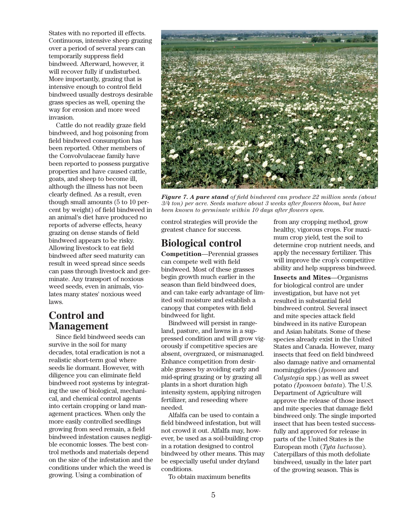States with no reported ill effects. Continuous, intensive sheep grazing over a period of several years can temporarily suppress field bindweed. Afterward, however, it will recover fully if undisturbed. More importantly, grazing that is intensive enough to control field bindweed usually destroys desirable grass species as well, opening the way for erosion and more weed invasion.

Cattle do not readily graze field bindweed, and hog poisoning from field bindweed consumption has been reported. Other members of the Convolvulaceae family have been reported to possess purgative properties and have caused cattle, goats, and sheep to become ill, although the illness has not been clearly defined. As a result, even though small amounts (5 to 10 percent by weight) of field bindweed in an animal's diet have produced no reports of adverse effects, heavy grazing on dense stands of field bindweed appears to be risky. Allowing livestock to eat field bindweed after seed maturity can result in weed spread since seeds can pass through livestock and germinate. Any transport of noxious weed seeds, even in animals, violates many states' noxious weed laws.

## **Control and Management**

Since field bindweed seeds can survive in the soil for many decades, total eradication is not a realistic short-term goal where seeds lie dormant. However, with diligence you can eliminate field bindweed root systems by integrating the use of biological, mechanical, and chemical control agents into certain cropping or land management practices. When only the more easily controlled seedlings growing from seed remain, a field bindweed infestation causes negligible economic losses. The best control methods and materials depend on the size of the infestation and the conditions under which the weed is growing. Using a combination of



*Figure 7. A pure stand of field bindweed can produce 22 million seeds (about 3/4 ton) per acre. Seeds mature about 3 weeks after flowers bloom, but have been known to germinate within 10 days after flowers open.*

control strategies will provide the greatest chance for success.

## **Biological control**

**Competition**—Perennial grasses can compete well with field bindweed. Most of these grasses begin growth much earlier in the season than field bindweed does, and can take early advantage of limited soil moisture and establish a canopy that competes with field bindweed for light.

Bindweed will persist in rangeland, pasture, and lawns in a suppressed condition and will grow vigorously if competitive species are absent, overgrazed, or mismanaged. Enhance competition from desirable grasses by avoiding early and mid-spring grazing or by grazing all plants in a short duration high intensity system, applying nitrogen fertilizer, and reseeding where needed.

Alfalfa can be used to contain a field bindweed infestation, but will not crowd it out. Alfalfa may, however, be used as a soil-building crop in a rotation designed to control bindweed by other means. This may be especially useful under dryland conditions.

To obtain maximum benefits

from any cropping method, grow healthy, vigorous crops. For maximum crop yield, test the soil to determine crop nutrient needs, and apply the necessary fertilizer. This will improve the crop's competitive ability and help suppress bindweed.

**Insects and Mites**—Organisms for biological control are under investigation, but have not yet resulted in substantial field bindweed control. Several insect and mite species attack field bindweed in its native European and Asian habitats. Some of these species already exist in the United States and Canada. However, many insects that feed on field bindweed also damage native and ornamental morningglories (*Ipomoea* and *Calystegia* spp.) as well as sweet potato *(Ipomoea batata*). The U.S. Department of Agriculture will approve the release of those insect and mite species that damage field bindweed only. The single imported insect that has been tested successfully and approved for release in parts of the United States is the European moth (*Tyta luctuosa*). Caterpillars of this moth defoliate bindweed, usually in the later part of the growing season. This is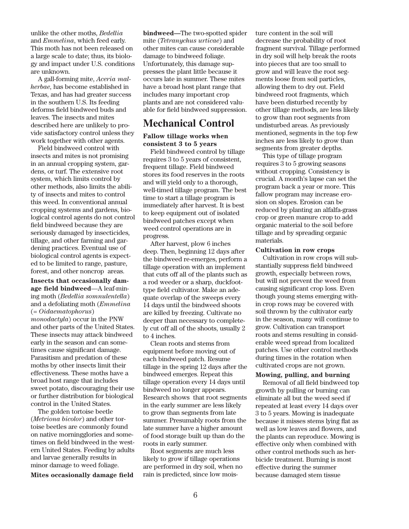unlike the other moths, *Bedellia* and *Emmelina*, which feed early. This moth has not been released on a large scale to date; thus, its biology and impact under U.S. conditions are unknown.

A gall-forming mite, *Aceria malherbae*, has become established in Texas, and has had greater success in the southern U.S. Its feeding deforms field bindweed buds and leaves. The insects and mites described here are unlikely to provide satisfactory control unless they work together with other agents.

Field bindweed control with insects and mites is not promising in an annual cropping system, gardens, or turf. The extensive root system, which limits control by other methods, also limits the ability of insects and mites to control this weed. In conventional annual cropping systems and gardens, biological control agents do not control field bindweed because they are seriously damaged by insecticides, tillage, and other farming and gardening practices. Eventual use of biological control agents is expected to be limited to range, pasture, forest, and other noncrop areas.

**Insects that occasionally damage field bindweed**—A leaf-mining moth (*Bedellia somnulentella*) and a defoliating moth (*Emmelina* (= *Oidaematophorus*) *monodactyla*) occur in the PNW and other parts of the United States. These insects may attack bindweed early in the season and can sometimes cause significant damage. Parasitism and predation of these moths by other insects limit their effectiveness. These moths have a broad host range that includes sweet potato, discouraging their use or further distribution for biological control in the United States.

The golden tortoise beetle (*Metriona bicolor*) and other tortoise beetles are commonly found on native morningglories and sometimes on field bindweed in the western United States. Feeding by adults and larvae generally results in minor damage to weed foliage.

**Mites occasionally damage field**

**bindweed—**The two-spotted spider mite (*Tetranychus urticae*) and other mites can cause considerable damage to bindweed foliage. Unfortunately, this damage suppresses the plant little because it occurs late in summer. These mites have a broad host plant range that includes many important crop plants and are not considered valuable for field bindweed suppression.

## **Mechanical Control**

#### **Fallow tillage works when consistent 3 to 5 years**

Field bindweed control by tillage requires 3 to 5 years of consistent, frequent tillage. Field bindweed stores its food reserves in the roots and will yield only to a thorough, well-timed tillage program. The best time to start a tillage program is immediately after harvest. It is best to keep equipment out of isolated bindweed patches except when weed control operations are in progress.

After harvest, plow 6 inches deep. Then, beginning 12 days after the bindweed re-emerges, perform a tillage operation with an implement that cuts off all of the plants such as a rod weeder or a sharp, duckfoottype field cultivator. Make an adequate overlap of the sweeps every 14 days until the bindweed shoots are killed by freezing. Cultivate no deeper than necessary to completely cut off all of the shoots, usually 2 to 4 inches.

Clean roots and stems from equipment before moving out of each bindweed patch. Resume tillage in the spring 12 days after the bindweed emerges. Repeat this tillage operation every 14 days until bindweed no longer appears. Research shows that root segments in the early summer are less likely to grow than segments from late summer. Presumably roots from the late summer have a higher amount of food storage built up than do the roots in early summer.

Root segments are much less likely to grow if tillage operations are performed in dry soil, when no rain is predicted, since low moisture content in the soil will decrease the probability of root fragment survival. Tillage performed in dry soil will help break the roots into pieces that are too small to grow and will leave the root segments loose from soil particles, allowing them to dry out. Field bindweed root fragments, which have been disturbed recently by other tillage methods, are less likely to grow than root segments from undisturbed areas. As previously mentioned, segments in the top few inches are less likely to grow than segments from greater depths.

This type of tillage program requires 3 to 5 growing seasons without cropping. Consistency is crucial. A month's lapse can set the program back a year or more. This fallow program may increase erosion on slopes. Erosion can be reduced by planting an alfalfa-grass crop or green manure crop to add organic material to the soil before tillage and by spreading organic materials.

#### **Cultivation in row crops**

Cultivation in row crops will substantially suppress field bindweed growth, especially between rows, but will not prevent the weed from causing significant crop loss. Even though young stems emerging within crop rows may be covered with soil thrown by the cultivator early in the season, many will continue to grow. Cultivation can transport roots and stems resulting in considerable weed spread from localized patches. Use other control methods during times in the rotation when cultivated crops are not grown.

#### **Mowing, pulling, and burning**

Removal of all field bindweed top growth by pulling or burning can eliminate all but the weed seed if repeated at least every 14 days over 3 to 5 years. Mowing is inadequate because it misses stems lying flat as well as low leaves and flowers, and the plants can reproduce. Mowing is effective only when combined with other control methods such as herbicide treatment. Burning is most effective during the summer because damaged stem tissue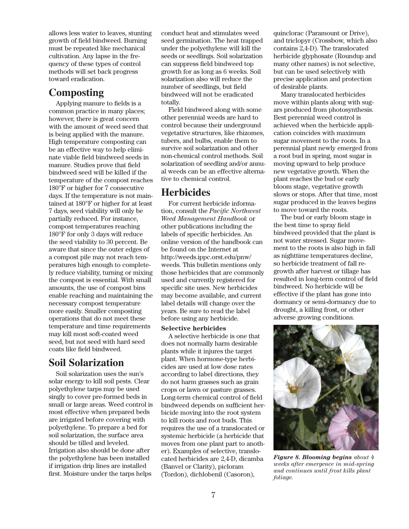allows less water to leaves, stunting growth of field bindweed. Burning must be repeated like mechanical cultivation. Any lapse in the frequency of these types of control methods will set back progress toward eradication.

# **Composting**

Applying manure to fields is a common practice in many places; however, there is great concern with the amount of weed seed that is being applied with the manure. High temperature composting can be an effective way to help eliminate viable field bindweed seeds in manure. Studies prove that field bindweed seed will be killed if the temperature of the compost reaches 180°F or higher for 7 consecutive days. If the temperature is not maintained at 180°F or higher for at least 7 days, seed viability will only be partially reduced. For instance, compost temperatures reaching 180°F for only 3 days will reduce the seed viability to 30 percent. Be aware that since the outer edges of a compost pile may not reach temperatures high enough to completely reduce viability, turning or mixing the compost is essential. With small amounts, the use of compost bins enable reaching and maintaining the necessary compost temperature more easily. Smaller composting operations that do not meet these temperature and time requirements may kill most soft-coated weed seed, but not seed with hard seed coats like field bindweed.

## **Soil Solarization**

Soil solarization uses the sun's solar energy to kill soil pests. Clear polyethylene tarps may be used singly to cover pre-formed beds in small or large areas. Weed control is most effective when prepared beds are irrigated before covering with polyethylene. To prepare a bed for soil solarization, the surface area should be tilled and leveled. Irrigation also should be done after the polyethylene has been installed if irrigation drip lines are installed first. Moisture under the tarps helps

conduct heat and stimulates weed seed germination. The heat trapped under the polyethylene will kill the seeds or seedlings. Soil solarization can suppress field bindweed top growth for as long as 6 weeks. Soil solarization also will reduce the number of seedlings, but field bindweed will not be eradicated totally.

Field bindweed along with some other perennial weeds are hard to control because their underground vegetative structures, like rhizomes, tubers, and bulbs, enable them to survive soil solarization and other non-chemical control methods. Soil solarization of seedling and/or annual weeds can be an effective alternative to chemical control.

# **Herbicides**

For current herbicide information, consult the *Pacific Northwest Weed Management Handbook* or other publications including the labels of specific herbicides. An online version of the handbook can be found on the Internet at http://weeds.ippc.orst.edu/pnw/ weeds. This bulletin mentions only those herbicides that are commonly used and currently registered for specific site uses. New herbicides may become available, and current label details will change over the years. Be sure to read the label before using any herbicide.

## **Selective herbicides**

A selective herbicide is one that does not normally harm desirable plants while it injures the target plant. When hormone-type herbicides are used at low dose rates according to label directions, they do not harm grasses such as grain crops or lawn or pasture grasses. Long-term chemical control of field bindweed depends on sufficient herbicide moving into the root system to kill roots and root buds. This requires the use of a translocated or systemic herbicide (a herbicide that moves from one plant part to another). Examples of selective, translocated herbicides are 2,4-D, dicamba (Banvel or Clarity), picloram (Tordon), dichlobenil (Casoron),

quinclorac (Paramount or Drive), and triclopyr (Crossbow, which also contains 2,4-D). The translocated herbicide glyphosate (Roundup and many other names) is not selective, but can be used selectively with precise application and protection of desirable plants.

Many translocated herbicides move within plants along with sugars produced from photosynthesis. Best perennial weed control is achieved when the herbicide application coincides with maximum sugar movement to the roots. In a perennial plant newly emerged from a root bud in spring, most sugar is moving upward to help produce new vegetative growth. When the plant reaches the bud or early bloom stage, vegetative growth slows or stops. After that time, most sugar produced in the leaves begins to move toward the roots.

The bud or early bloom stage is the best time to spray field bindweed provided that the plant is not water stressed. Sugar movement to the roots is also high in fall as nighttime temperatures decline, so herbicide treatment of fall regrowth after harvest or tillage has resulted in long-term control of field bindweed. No herbicide will be effective if the plant has gone into dormancy or semi-dormancy due to drought, a killing frost, or other adverse growing conditions.



*Figure 8. Blooming begins about 4 weeks after emergence in mid-spring and continues until frost kills plant foliage.*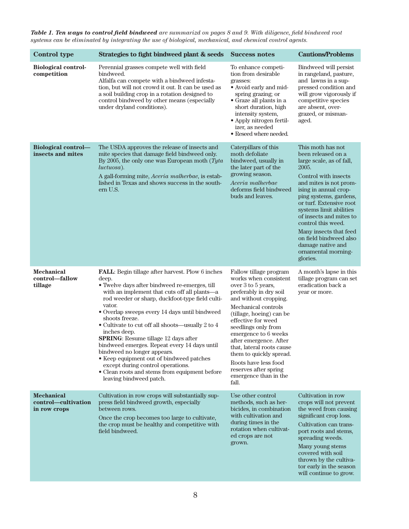*Table 1. Ten ways to control field bindweed are summarizd on pages 8 and 9. With diligence, field bindweed root systems can be eliminated by integrating the use of biological, mechanical, and chemical control agents.*

| <b>Control type</b>                                      | Strategies to fight bindweed plant & seeds                                                                                                                                                                                                                                                                                                                                                                                                                                                                                                                                                                                                                        | <b>Success notes</b>                                                                                                                                                                                                                                                                                                                                                                                                  | <b>Cautions/Problems</b>                                                                                                                                                                                                                                                                                                                                                                             |
|----------------------------------------------------------|-------------------------------------------------------------------------------------------------------------------------------------------------------------------------------------------------------------------------------------------------------------------------------------------------------------------------------------------------------------------------------------------------------------------------------------------------------------------------------------------------------------------------------------------------------------------------------------------------------------------------------------------------------------------|-----------------------------------------------------------------------------------------------------------------------------------------------------------------------------------------------------------------------------------------------------------------------------------------------------------------------------------------------------------------------------------------------------------------------|------------------------------------------------------------------------------------------------------------------------------------------------------------------------------------------------------------------------------------------------------------------------------------------------------------------------------------------------------------------------------------------------------|
| <b>Biological control-</b><br>competition                | Perennial grasses compete well with field<br>bindweed.<br>Alfalfa can compete with a bindweed infesta-<br>tion, but will not crowd it out. It can be used as<br>a soil building crop in a rotation designed to<br>control bindweed by other means (especially<br>under dryland conditions).                                                                                                                                                                                                                                                                                                                                                                       | To enhance competi-<br>tion from desirable<br>grasses:<br>• Avoid early and mid-<br>spring grazing; or<br>• Graze all plants in a<br>short duration, high<br>intensity system,<br>• Apply nitrogen fertil-<br>izer, as needed<br>• Reseed where needed.                                                                                                                                                               | Bindweed will persist<br>in rangeland, pasture,<br>and lawns in a sup-<br>pressed condition and<br>will grow vigorously if<br>competitive species<br>are absent, over-<br>grazed, or misman-<br>aged.                                                                                                                                                                                                |
| <b>Biological control-</b><br>insects and mites          | The USDA approves the release of insects and<br>mite species that damage field bindweed only.<br>By 2005, the only one was European moth $(Tyta)$<br><i>luctuosa</i> ).<br>A gall-forming mite, Aceria malherbae, is estab-<br>lished in Texas and shows success in the south-<br>ern U.S.                                                                                                                                                                                                                                                                                                                                                                        | Caterpillars of this<br>moth defoliate<br>bindweed, usually in<br>the later part of the<br>growing season.<br>Aceria malherbae<br>deforms field bindweed<br>buds and leaves.                                                                                                                                                                                                                                          | This moth has not<br>been released on a<br>large scale, as of fall,<br>2005.<br>Control with insects<br>and mites is not prom-<br>ising in annual crop-<br>ping systems, gardens,<br>or turf. Extensive root<br>systems limit abilities<br>of insects and mites to<br>control this weed.<br>Many insects that feed<br>on field bindweed also<br>damage native and<br>ornamental morning-<br>glories. |
| <b>Mechanical</b><br>control-fallow<br>tillage           | <b>FALL</b> : Begin tillage after harvest. Plow 6 inches<br>deep.<br>• Twelve days after bindweed re-emerges, till<br>with an implement that cuts off all plants—a<br>rod weeder or sharp, duckfoot-type field culti-<br>vator.<br>• Overlap sweeps every 14 days until bindweed<br>shoots freeze.<br>• Cultivate to cut off all shoots—usually 2 to 4<br>inches deep.<br><b>SPRING:</b> Resume tillage 12 days after<br>bindweed emerges. Repeat every 14 days until<br>bindweed no longer appears.<br>• Keep equipment out of bindweed patches<br>except during control operations.<br>• Clean roots and stems from equipment before<br>leaving bindweed patch. | Fallow tillage program<br>works when consistent<br>over 3 to 5 years,<br>preferably in dry soil<br>and without cropping.<br>Mechanical controls<br>(tillage, hoeing) can be<br>effective for weed<br>seedlings only from<br>emergence to 6 weeks<br>after emergence. After<br>that, lateral roots cause<br>them to quickly spread.<br>Roots have less food<br>reserves after spring<br>emergence than in the<br>fall. | A month's lapse in this<br>tillage program can set<br>eradication back a<br>year or more.                                                                                                                                                                                                                                                                                                            |
| <b>Mechanical</b><br>control—cultivation<br>in row crops | Cultivation in row crops will substantially sup-<br>press field bindweed growth, especially<br>between rows.<br>Once the crop becomes too large to cultivate,<br>the crop must be healthy and competitive with<br>field bindweed.                                                                                                                                                                                                                                                                                                                                                                                                                                 | Use other control<br>methods, such as her-<br>bicides, in combination<br>with cultivation and<br>during times in the<br>rotation when cultivat-<br>ed crops are not<br>grown.                                                                                                                                                                                                                                         | Cultivation in row<br>crops will not prevent<br>the weed from causing<br>significant crop loss.<br>Cultivation can trans-<br>port roots and stems,<br>spreading weeds.<br>Many young stems<br>covered with soil<br>thrown by the cultiva-<br>tor early in the season<br>will continue to grow.                                                                                                       |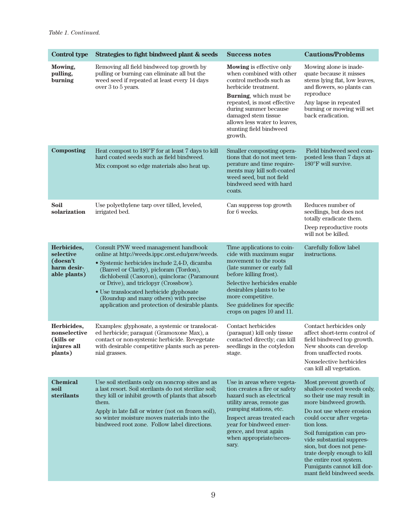| <b>Control type</b>                                                 | Strategies to fight bindweed plant & seeds                                                                                                                                                                                                                                                                                                                                                                         | <b>Success notes</b>                                                                                                                                                                                                                                                                          | <b>Cautions/Problems</b>                                                                                                                                                                                                                                                                                                                                                                      |
|---------------------------------------------------------------------|--------------------------------------------------------------------------------------------------------------------------------------------------------------------------------------------------------------------------------------------------------------------------------------------------------------------------------------------------------------------------------------------------------------------|-----------------------------------------------------------------------------------------------------------------------------------------------------------------------------------------------------------------------------------------------------------------------------------------------|-----------------------------------------------------------------------------------------------------------------------------------------------------------------------------------------------------------------------------------------------------------------------------------------------------------------------------------------------------------------------------------------------|
| Mowing,<br>pulling,<br>burning                                      | Removing all field bindweed top growth by<br>pulling or burning can eliminate all but the<br>weed seed if repeated at least every 14 days<br>over 3 to 5 years.                                                                                                                                                                                                                                                    | <b>Mowing</b> is effective only<br>when combined with other<br>control methods such as<br>herbicide treatment.<br>Burning, which must be<br>repeated, is most effective<br>during summer because<br>damaged stem tissue<br>allows less water to leaves,<br>stunting field bindweed<br>growth. | Mowing alone is inade-<br>quate because it misses<br>stems lying flat, low leaves,<br>and flowers, so plants can<br>reproduce<br>Any lapse in repeated<br>burning or mowing will set<br>back eradication.                                                                                                                                                                                     |
| <b>Composting</b>                                                   | Heat compost to 180°F for at least 7 days to kill<br>hard coated seeds such as field bindweed.<br>Mix compost so edge materials also heat up.                                                                                                                                                                                                                                                                      | Smaller composting opera-<br>tions that do not meet tem-<br>perature and time require-<br>ments may kill soft-coated<br>weed seed, but not field<br>bindweed seed with hard<br>coats.                                                                                                         | Field bindweed seed com-<br>posted less than 7 days at<br>$180^{\circ}$ F will survive.                                                                                                                                                                                                                                                                                                       |
| Soil<br>solarization                                                | Use polyethylene tarp over tilled, leveled,<br>irrigated bed.                                                                                                                                                                                                                                                                                                                                                      | Can suppress top growth<br>for 6 weeks.                                                                                                                                                                                                                                                       | Reduces number of<br>seedlings, but does not<br>totally eradicate them.<br>Deep reproductive roots<br>will not be killed.                                                                                                                                                                                                                                                                     |
| Herbicides,<br>selective<br>(doesn't<br>harm desir-<br>able plants) | Consult PNW weed management handbook<br>online at http://weeds.ippc.orst.edu/pnw/weeds.<br>· Systemic herbicides include 2,4-D, dicamba<br>(Banvel or Clarity), picloram (Tordon),<br>dichlobenil (Casoron), quinclorac (Paramount<br>or Drive), and triclopyr (Crossbow).<br>• Use translocated herbicide glyphosate<br>(Roundup and many others) with precise<br>application and protection of desirable plants. | Time applications to coin-<br>cide with maximum sugar<br>movement to the roots<br>(late summer or early fall)<br>before killing frost).<br>Selective herbicides enable<br>desirables plants to be<br>more competitive.<br>See guidelines for specific<br>crops on pages 10 and 11.            | Carefully follow label<br>instructions.                                                                                                                                                                                                                                                                                                                                                       |
| Herbicides,<br>nonselective<br>(kills or<br>injures all<br>plants)  | Examples: glyphosate, a systemic or translocat-<br>ed herbicide; paraquat (Gramoxone Max), a<br>contact or non-systemic herbicide. Revegetate<br>with desirable competitive plants such as peren-<br>nial grasses.                                                                                                                                                                                                 | Contact herbicides<br>(paraquat) kill only tissue<br>contacted directly; can kill<br>seedlings in the cotyledon<br>stage.                                                                                                                                                                     | Contact herbicides only<br>affect short-term control of<br>field bindweed top growth.<br>New shoots can develop<br>from unaffected roots.<br>Nonselective herbicides<br>can kill all vegetation.                                                                                                                                                                                              |
| <b>Chemical</b><br>soil<br>sterilants                               | Use soil sterilants only on noncrop sites and as<br>a last resort. Soil sterilants do not sterilize soil;<br>they kill or inhibit growth of plants that absorb<br>them.<br>Apply in late fall or winter (not on frozen soil),<br>so winter moisture moves materials into the<br>bindweed root zone. Follow label directions.                                                                                       | Use in areas where vegeta-<br>tion creates a fire or safety<br>hazard such as electrical<br>utility areas, remote gas<br>pumping stations, etc.<br>Inspect areas treated each<br>year for bindweed emer-<br>gence, and treat again<br>when appropriate/neces-<br>sary.                        | Most prevent growth of<br>shallow-rooted weeds only,<br>so their use may result in<br>more bindweed growth.<br>Do not use where erosion<br>could occur after vegeta-<br>tion loss.<br>Soil fumigation can pro-<br>vide substantial suppres-<br>sion, but does not pene-<br>trate deeply enough to kill<br>the entire root system.<br>Fumigants cannot kill dor-<br>mant field bindweed seeds. |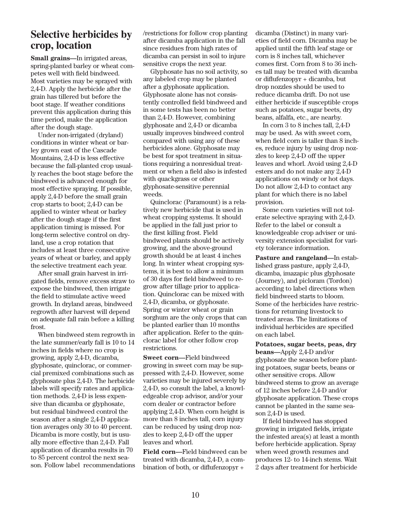## **Selective herbicides by crop, location**

**Small grains—**In irrigated areas, spring-planted barley or wheat competes well with field bindweed. Most varieties may be sprayed with 2,4-D. Apply the herbicide after the grain has tillered but before the boot stage. If weather conditions prevent this application during this time period, make the application after the dough stage.

Under non-irrigated (dryland) conditions in winter wheat or barley grown east of the Cascade Mountains, 2,4-D is less effective because the fall-planted crop usually reaches the boot stage before the bindweed is advanced enough for most effective spraying. If possible, apply 2,4-D before the small grain crop starts to boot; 2,4-D can be applied to winter wheat or barley after the dough stage if the first application timing is missed. For long-term selective control on dryland, use a crop rotation that includes at least three consecutive years of wheat or barley, and apply the selective treatment each year.

After small grain harvest in irrigated fields, remove excess straw to expose the bindweed, then irrigate the field to stimulate active weed growth. In dryland areas, bindweed regrowth after harvest will depend on adequate fall rain before a killing frost.

When bindweed stem regrowth in the late summer/early fall is 10 to 14 inches in fields where no crop is growing, apply 2,4-D, dicamba, glyphosate, quinclorac, or commercial premixed combinations such as glyphosate plus 2,4-D. The herbicide labels will specify rates and application methods. 2,4-D is less expensive than dicamba or glyphosate, but residual bindweed control the season after a single 2,4-D application averages only 30 to 40 percent. Dicamba is more costly, but is usually more effective than 2,4-D. Fall application of dicamba results in 70 to 85 percent control the next season. Follow label recommendations /restrictions for follow crop planting after dicamba application in the fall since residues from high rates of dicamba can persist in soil to injure sensitive crops the next year.

Glyphosate has no soil activity, so any labeled crop may be planted after a glyphosate application. Glyphosate alone has not consistently controlled field bindweed and in some tests has been no better than 2,4-D. However, combining glyphosate and 2,4-D or dicamba usually improves bindweed control compared with using any of these herbicides alone. Glyphosate may be best for spot treatment in situations requiring a nonresidual treatment or when a field also is infested with quackgrass or other glyphosate-sensitive perennial weeds.

Quinclorac (Paramount) is a relatively new herbicide that is used in wheat cropping systems. It should be applied in the fall just prior to the first killing frost. Field bindweed plants should be actively growing, and the above-ground growth should be at least 4 inches long. In winter wheat cropping systems, it is best to allow a minimum of 30 days for field bindweed to regrow after tillage prior to application. Quinclorac can be mixed with 2,4-D, dicamba, or glyphosate. Spring or winter wheat or grain sorghum are the only crops that can be planted earlier than 10 months after application. Refer to the quinclorac label for other follow crop restrictions.

**Sweet corn—**Field bindweed growing in sweet corn may be suppressed with 2,4-D. However, some varieties may be injured severely by 2,4-D, so consult the label, a knowledgeable crop advisor, and/or your corn dealer or contractor before applying 2,4-D. When corn height is more than 8 inches tall, corn injury can be reduced by using drop nozzles to keep 2,4-D off the upper leaves and whorl.

**Field corn—**Field bindweed can be treated with dicamba, 2,4-D, a combination of both, or diflufenzopyr +

dicamba (Distinct) in many varieties of field corn. Dicamba may be applied until the fifth leaf stage or corn is 8 inches tall, whichever comes first. Corn from 8 to 36 inches tall may be treated with dicamba or diflufenzopyr + dicamba, but drop nozzles should be used to reduce dicamba drift. Do not use either herbicide if susceptible crops such as potatoes, sugar beets, dry beans, alfalfa, etc., are nearby.

In corn 3 to 8 inches tall, 2,4-D may be used. As with sweet corn, when field corn is taller than 8 inches, reduce injury by using drop nozzles to keep 2,4-D off the upper leaves and whorl. Avoid using 2,4-D esters and do not make any 2,4-D applications on windy or hot days. Do not allow 2,4-D to contact any plant for which there is no label provision.

Some corn varieties will not tolerate selective spraying with 2,4-D. Refer to the label or consult a knowledgeable crop adviser or university extension specialist for variety tolerance information.

**Pasture and rangeland—**In established grass pasture, apply 2,4-D, dicamba, imazapic plus glyphosate (Journey), and picloram (Tordon) according to label directions when field bindweed starts to bloom. Some of the herbicides have restrictions for returning livestock to treated areas. The limitations of individual herbicides are specified on each label.

**Potatoes, sugar beets, peas, dry beans—**Apply 2,4-D and/or glyphosate the season before planting potatoes, sugar beets, beans or other sensitive crops. Allow bindweed stems to grow an average of 12 inches before 2,4-D and/or glyphosate application. These crops cannot be planted in the same season 2,4-D is used.

If field bindweed has stopped growing in irrigated fields, irrigate the infested area(s) at least a month before herbicide application. Spray when weed growth resumes and produces 12- to 14-inch stems. Wait 2 days after treatment for herbicide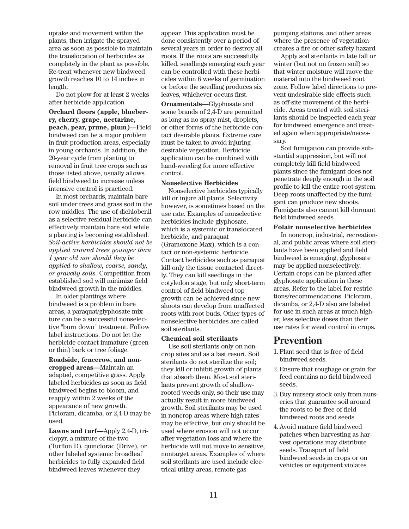uptake and movement within the plants, then irrigate the sprayed area as soon as possible to maintain the translocation of herbicides as completely in the plant as possible. Re-treat whenever new bindweed growth reaches 10 to 14 inches in length.

Do not plow for at least 2 weeks after herbicide application.

**Orchard floors (apple, blueberry, cherry, grape, nectarine, peach, pear, prune, plum)—**Field bindweed can be a major problem in fruit production areas, especially in young orchards. In addition, the 20-year cycle from planting to removal in fruit tree crops such as those listed above, usually allows field bindweed to increase unless intensive control is practiced.

In most orchards, maintain bare soil under trees and grass sod in the row middles. The use of dichlobenil as a selective residual herbicide can effectively maintain bare soil while a planting is becoming established. *Soil-active herbicides should not be applied around trees younger than 1 year old nor should they be applied to shallow, coarse, sandy, or gravelly soils.* Competition from established sod will minimize field bindweed growth in the middles.

In older plantings where bindweed is a problem in bare areas, a paraquat/glyphosate mixture can be a successful nonselective "burn down" treatment. Follow label instructions. Do not let the herbicide contact immature (green or thin) bark or tree foliage.

**Roadside, fencerow, and noncropped areas—**Maintain an adapted, competitive grass. Apply labeled herbicides as soon as field bindweed begins to bloom, and reapply within 2 weeks of the appearance of new growth. Picloram, dicamba, or 2,4-D may be used.

**Lawns and turf—**Apply 2,4-D, triclopyr, a mixture of the two (Turflon D), quinclorac (Drive), or other labeled systemic broadleaf herbicides to fully expanded field bindweed leaves whenever they

appear. This application must be done consistently over a period of several years in order to destroy all roots. If the roots are successfully killed, seedlings emerging each year can be controlled with these herbicides within 6 weeks of germination or before the seedling produces six leaves, whichever occurs first.

**Ornamentals—**Glyphosate and some brands of 2,4-D are permitted as long as no spray mist, droplets, or other forms of the herbicide contact desirable plants. Extreme care must be taken to avoid injuring desirable vegetation. Herbicide application can be combined with hand-weeding for more effective control.

#### **Nonselective Herbicides**

Nonselective herbicides typically kill or injure all plants. Selectivity however, is sometimes based on the use rate. Examples of nonselective herbicides include glyphosate, which is a systemic or translocated herbicide, and paraquat (Gramoxone Max), which is a contact or non-systemic herbicide. Contact herbicides such as paraquat kill only the tissue contacted directly. They can kill seedlings in the cotyledon stage, but only short-term control of field bindweed top growth can be achieved since new shoots can develop from unaffected roots with root buds. Other types of nonselective herbicides are called soil sterilants.

#### **Chemical soil sterilants**

Use soil sterilants only on noncrop sites and as a last resort. Soil sterilants do not sterilize the soil; they kill or inhibit growth of plants that absorb them. Most soil sterilants prevent growth of shallowrooted weeds only, so their use may actually result in more bindweed growth. Soil sterilants may be used in noncrop areas where high rates may be effective, but only should be used where erosion will not occur after vegetation loss and where the herbicide will not move to sensitive, nontarget areas. Examples of where soil sterilants are used include electrical utility areas, remote gas

pumping stations, and other areas where the presence of vegetation creates a fire or other safety hazard.

Apply soil sterilants in late fall or winter (but not on frozen soil) so that winter moisture will move the material into the bindweed root zone. Follow label directions to prevent undesirable side effects such as off-site movement of the herbicide. Areas treated with soil sterilants should be inspected each year for bindweed emergence and treated again when appropriate/necessary.

Soil fumigation can provide substantial suppression, but will not completely kill field bindweed plants since the fumigant does not penetrate deeply enough in the soil profile to kill the entire root system. Deep roots unaffected by the fumigant can produce new shoots. Fumigants also cannot kill dormant field bindweed seeds.

#### **Folair nonselective herbicides**

In noncrop, industrial, recreational, and public areas where soil sterilants have been applied and field bindweed is emerging, glyphosate may be applied nonselectively. Certain crops can be planted after glyphosate application in these areas. Refer to the label for restrictions/recommendations. Picloram, dicamba, or 2,4-D also are labeled for use in such areas at much higher, less selective doses than their use rates for weed control in crops.

## **Prevention**

- 1. Plant seed that is free of field bindweed seeds.
- 2. Ensure that roughage or grain for feed contains no field bindweed seeds.
- 3. Buy nursery stock only from nurseries that guarantee soil around the roots to be free of field bindweed roots and seeds.
- 4. Avoid mature field bindweed patches when harvesting as harvest operations may distribute seeds. Transport of field bindweed seeds in crops or on vehicles or equipment violates